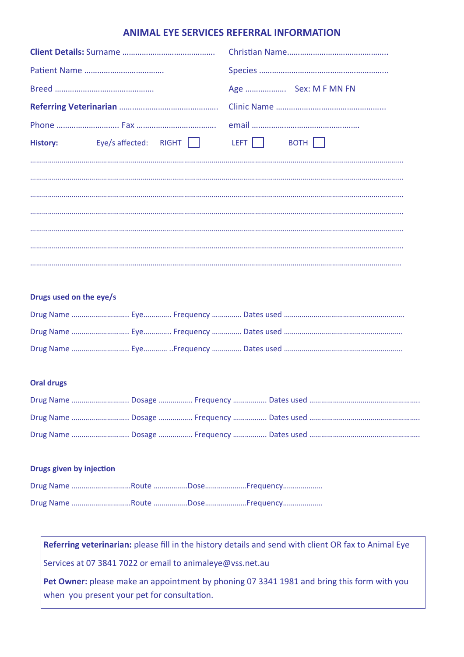# **ANIMAL EYE SERVICES REFERRAL INFORMATION**

|                                | Age  Sex: M F MN FN |
|--------------------------------|---------------------|
|                                |                     |
|                                |                     |
| History: Eye/s affected: RIGHT | LEFT BOTH $\Box$    |
|                                |                     |
|                                |                     |
|                                |                     |
|                                |                     |
|                                |                     |
|                                |                     |
|                                |                     |

## **Drugs used on the eye/s**

## **Oral drugs**

#### **Drugs** given by injection

## **Referring veterinarian:** please fill in the history details and send with client OR fax to Animal Eye

Services at 07 3841 7022 or email to animaleye@vss.net.au

**Pet Owner:** please make an appointment by phoning 07 3341 1981 and bring this form with you when you present your pet for consultation.